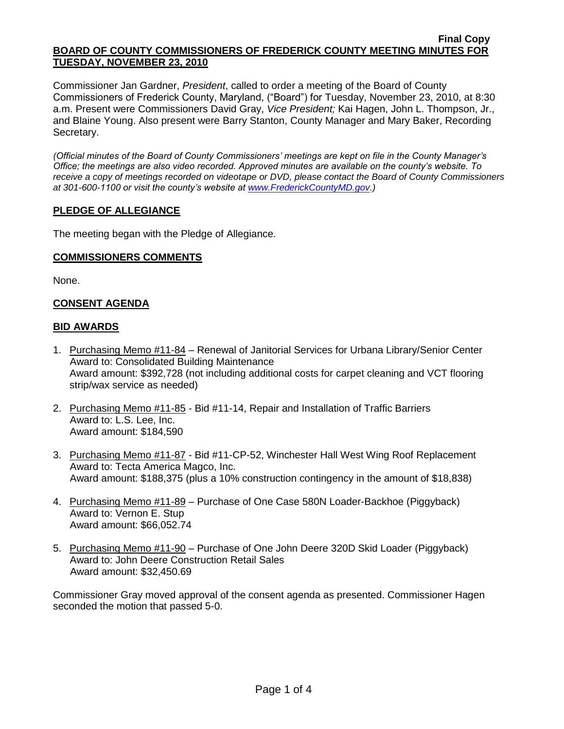Commissioner Jan Gardner, *President*, called to order a meeting of the Board of County Commissioners of Frederick County, Maryland, ("Board") for Tuesday, November 23, 2010, at 8:30 a.m. Present were Commissioners David Gray, *Vice President;* Kai Hagen, John L. Thompson, Jr., and Blaine Young. Also present were Barry Stanton, County Manager and Mary Baker, Recording Secretary.

*(Official minutes of the Board of County Commissioners' meetings are kept on file in the County Manager's Office; the meetings are also video recorded. Approved minutes are available on the county's website. To receive a copy of meetings recorded on videotape or DVD, please contact the Board of County Commissioners at 301-600-1100 or visit the county's website at [www.FrederickCountyMD.gov.](http://www.frederickcountymd.gov/))*

# **PLEDGE OF ALLEGIANCE**

The meeting began with the Pledge of Allegiance.

### **COMMISSIONERS COMMENTS**

None.

# **CONSENT AGENDA**

### **BID AWARDS**

- 1. Purchasing Memo #11-84 Renewal of Janitorial Services for Urbana Library/Senior Center Award to: Consolidated Building Maintenance Award amount: \$392,728 (not including additional costs for carpet cleaning and VCT flooring strip/wax service as needed)
- 2. Purchasing Memo #11-85 Bid #11-14, Repair and Installation of Traffic Barriers Award to: L.S. Lee, Inc. Award amount: \$184,590
- 3. Purchasing Memo #11-87 Bid #11-CP-52, Winchester Hall West Wing Roof Replacement Award to: Tecta America Magco, Inc. Award amount: \$188,375 (plus a 10% construction contingency in the amount of \$18,838)
- 4. Purchasing Memo #11-89 Purchase of One Case 580N Loader-Backhoe (Piggyback) Award to: Vernon E. Stup Award amount: \$66,052.74
- 5. Purchasing Memo #11-90 Purchase of One John Deere 320D Skid Loader (Piggyback) Award to: John Deere Construction Retail Sales Award amount: \$32,450.69

Commissioner Gray moved approval of the consent agenda as presented. Commissioner Hagen seconded the motion that passed 5-0.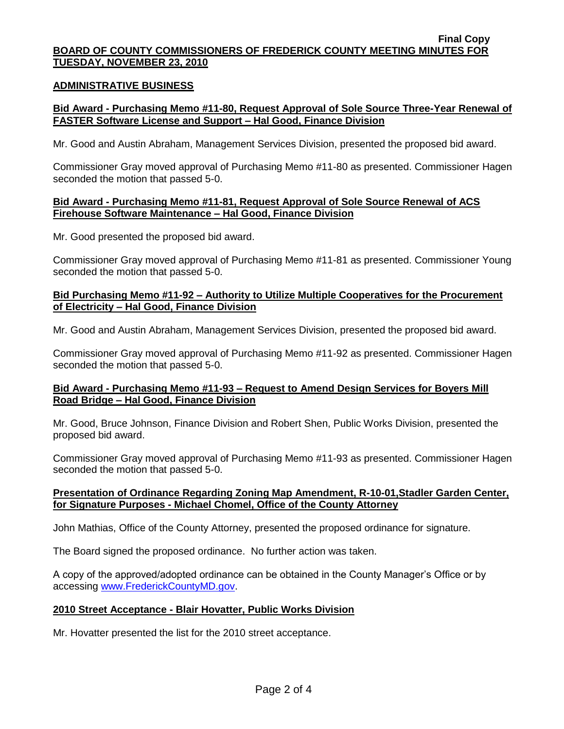### **ADMINISTRATIVE BUSINESS**

## **Bid Award - Purchasing Memo #11-80, Request Approval of Sole Source Three-Year Renewal of FASTER Software License and Support – Hal Good, Finance Division**

Mr. Good and Austin Abraham, Management Services Division, presented the proposed bid award.

Commissioner Gray moved approval of Purchasing Memo #11-80 as presented. Commissioner Hagen seconded the motion that passed 5-0.

### **Bid Award - Purchasing Memo #11-81, Request Approval of Sole Source Renewal of ACS Firehouse Software Maintenance – Hal Good, Finance Division**

Mr. Good presented the proposed bid award.

Commissioner Gray moved approval of Purchasing Memo #11-81 as presented. Commissioner Young seconded the motion that passed 5-0.

### **Bid Purchasing Memo #11-92 – Authority to Utilize Multiple Cooperatives for the Procurement of Electricity – Hal Good, Finance Division**

Mr. Good and Austin Abraham, Management Services Division, presented the proposed bid award.

Commissioner Gray moved approval of Purchasing Memo #11-92 as presented. Commissioner Hagen seconded the motion that passed 5-0.

# **Bid Award - Purchasing Memo #11-93 – Request to Amend Design Services for Boyers Mill Road Bridge – Hal Good, Finance Division**

Mr. Good, Bruce Johnson, Finance Division and Robert Shen, Public Works Division, presented the proposed bid award.

Commissioner Gray moved approval of Purchasing Memo #11-93 as presented. Commissioner Hagen seconded the motion that passed 5-0.

### **Presentation of Ordinance Regarding Zoning Map Amendment, R-10-01,Stadler Garden Center, for Signature Purposes - Michael Chomel, Office of the County Attorney**

John Mathias, Office of the County Attorney, presented the proposed ordinance for signature.

The Board signed the proposed ordinance. No further action was taken.

A copy of the approved/adopted ordinance can be obtained in the County Manager's Office or by accessing [www.FrederickCountyMD.gov.](file://NT1S5/BOCC/BOCC/BOCC%20Minutes/Mary)

# **2010 Street Acceptance - Blair Hovatter, Public Works Division**

Mr. Hovatter presented the list for the 2010 street acceptance.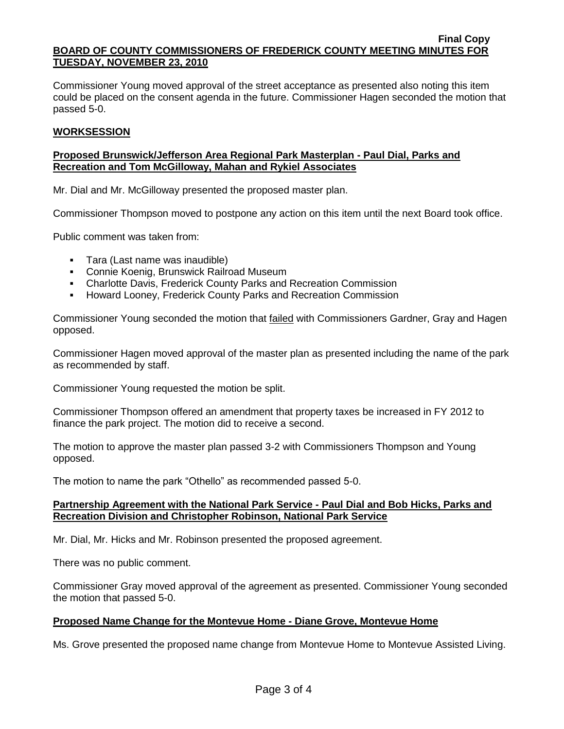Commissioner Young moved approval of the street acceptance as presented also noting this item could be placed on the consent agenda in the future. Commissioner Hagen seconded the motion that passed 5-0.

## **WORKSESSION**

## **Proposed Brunswick/Jefferson Area Regional Park Masterplan - Paul Dial, Parks and Recreation and Tom McGilloway, Mahan and Rykiel Associates**

Mr. Dial and Mr. McGilloway presented the proposed master plan.

Commissioner Thompson moved to postpone any action on this item until the next Board took office.

Public comment was taken from:

- Tara (Last name was inaudible)
- Connie Koenig, Brunswick Railroad Museum
- Charlotte Davis, Frederick County Parks and Recreation Commission
- **-** Howard Looney, Frederick County Parks and Recreation Commission

Commissioner Young seconded the motion that failed with Commissioners Gardner, Gray and Hagen opposed.

Commissioner Hagen moved approval of the master plan as presented including the name of the park as recommended by staff.

Commissioner Young requested the motion be split.

Commissioner Thompson offered an amendment that property taxes be increased in FY 2012 to finance the park project. The motion did to receive a second.

The motion to approve the master plan passed 3-2 with Commissioners Thompson and Young opposed.

The motion to name the park "Othello" as recommended passed 5-0.

### **Partnership Agreement with the National Park Service - Paul Dial and Bob Hicks, Parks and Recreation Division and Christopher Robinson, National Park Service**

Mr. Dial, Mr. Hicks and Mr. Robinson presented the proposed agreement.

There was no public comment.

Commissioner Gray moved approval of the agreement as presented. Commissioner Young seconded the motion that passed 5-0.

### **Proposed Name Change for the Montevue Home - Diane Grove, Montevue Home**

Ms. Grove presented the proposed name change from Montevue Home to Montevue Assisted Living.